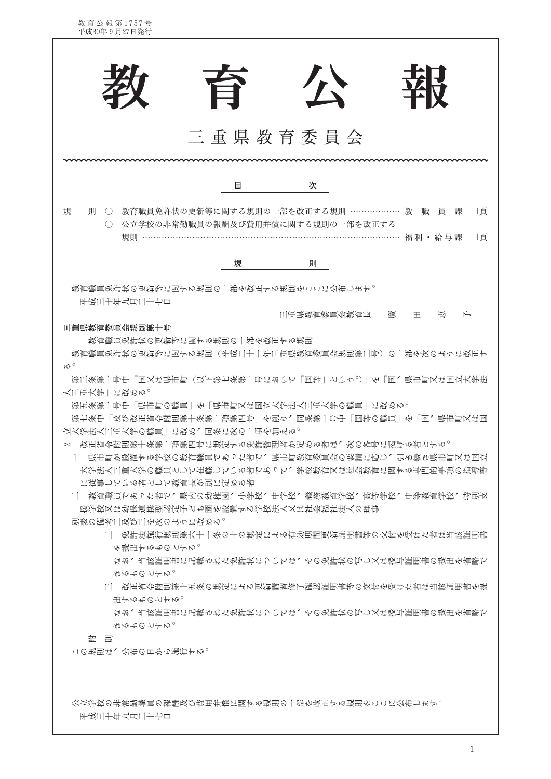出するものとする。 なお、当該証明書に記載された免許状については、その免許状の写し又は授与証明書の提出を省略で **MNACHAM** を … この規則は、公布の日から施行する。 公立学校の非常勤職員の報酬及び費用弁償に関する規則の一部を改正する規則をここに公布します。 平成三十年九月二十七日

古るものとする。 |1|| 改正省令附則第十五条の規定による更新講習修了確認証明書等の交付を受けた者は当該証明書を提

を堤出するものとする。 なお、当該証明書に記載された免許状については、その免許状の写し又は授与証明書の提出を省略で

1│ 免許法施行規則第六十一条の十の規定による有効期間更新証明書等の交付を受けた者は当該証明書

別表の備考二及び三を次のように改める。

優学饺又は幼保連携型認定子ども園を設置する学饺法人又は社会福祉法人の理事

- に従事している者として教育長が別に定める者 11 教育職員であった者で、県内の幼稚園、小学饺、中学饺、義務教育学饺、高等学饺、中等教育学饺、特別支
- 大学法人三重大学の職員として在職している者であって、学校教育又は社会教育に関する専門的事項の指導等
- 2 改正省令附則第十条第一項第四号に現定する免許管理者が定める者は、次の各号に掲げる者とする。 県市町が設置する学校の教育職員であった者で、県市町教育委員会の要請に応じ、引き続き県市町又は国立
- 立大学法人三重大学の職員一に改め、同条に次の一項を加える。

第五条第一号中「県市町の職員一を「県市町又は国立大学法人三重大学の職員」に改める。 第七条中「及び改正省令附則第十条第一項第四号」を削り、同条第一号中「国等の職員」を「国、県市町又は国

人三重大学一に改める。

 $M_0$ 第三条第一号中「国又は県市町(以下第七条第一号において「国等」という。)」を「国、県市町又は国立大学法

育

目

規

教育職員免許状の更新等に関する規則の一部を改正する規則をここに公布します。

○ 公立学校の非常勤職員の報酬及び費用弁償に関する規則の一部を改正する

教育職員免許状の更新等に関する規則の一部を改正する規則 |教育職員免許状の更新等に関する規則(平成二十一年三重県教育委員会規則第二号)の一部を次のように改正す|

三重県教育委員会

則 ○ 教育職員免許状の更新等に関する規則の一部を改正する規則 ……………… 教 職 員 課

規則 …………………………………………………………………………… 福利 · 給与課

小

次

則

三重県教育委員会規則第十号

平成三十年九月二十七日

規

教育公報第1757号<br>平成30年9月27日発行

三重具数育委員会数育長 黃 田

 $\mathbf{1}$ 

1百

1頁

मा≨

 $H$